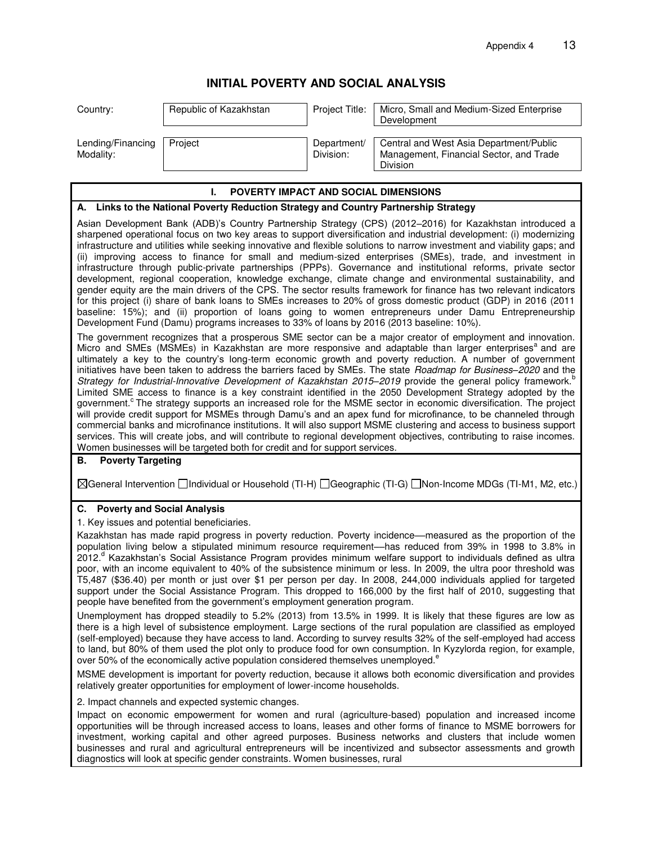# **INITIAL POVERTY AND SOCIAL ANALYSIS**

| Country:                       | Republic of Kazakhstan | Project Title:           | Micro, Small and Medium-Sized Enterprise<br>Development                                        |
|--------------------------------|------------------------|--------------------------|------------------------------------------------------------------------------------------------|
| Lending/Financing<br>Modality: | Project                | Department/<br>Division: | Central and West Asia Department/Public<br>Management, Financial Sector, and Trade<br>Division |

## **I. POVERTY IMPACT AND SOCIAL DIMENSIONS**

## **A. Links to the National Poverty Reduction Strategy and Country Partnership Strategy**

Asian Development Bank (ADB)'s Country Partnership Strategy (CPS) (2012–2016) for Kazakhstan introduced a sharpened operational focus on two key areas to support diversification and industrial development: (i) modernizing infrastructure and utilities while seeking innovative and flexible solutions to narrow investment and viability gaps; and (ii) improving access to finance for small and medium-sized enterprises (SMEs), trade, and investment in infrastructure through public-private partnerships (PPPs). Governance and institutional reforms, private sector development, regional cooperation, knowledge exchange, climate change and environmental sustainability, and gender equity are the main drivers of the CPS. The sector results framework for finance has two relevant indicators for this project (i) share of bank loans to SMEs increases to 20% of gross domestic product (GDP) in 2016 (2011 baseline: 15%); and (ii) proportion of loans going to women entrepreneurs under Damu Entrepreneurship Development Fund (Damu) programs increases to 33% of loans by 2016 (2013 baseline: 10%).

The government recognizes that a prosperous SME sector can be a major creator of employment and innovation. Micro and SMEs (MSMEs) in Kazakhstan are more responsive and adaptable than larger enterprises<sup>a</sup> and are ultimately a key to the country's long-term economic growth and poverty reduction. A number of government initiatives have been taken to address the barriers faced by SMEs. The state *Roadmap for Business–2020* and the *Strategy for Industrial-Innovative Development of Kazakhstan 2015<sup><i>–*2019</sup> provide the general policy framework.<sup>b</sup> Limited SME access to finance is a key constraint identified in the 2050 Development Strategy adopted by the government.<sup>c</sup> The strategy supports an increased role for the MSME sector in economic diversification. The project will provide credit support for MSMEs through Damu's and an apex fund for microfinance, to be channeled through commercial banks and microfinance institutions. It will also support MSME clustering and access to business support services. This will create jobs, and will contribute to regional development objectives, contributing to raise incomes. Women businesses will be targeted both for credit and for support services.

# **B. Poverty Targeting**

General Intervention Individual or Household (TI-H) Geographic (TI-G) Non-Income MDGs (TI-M1, M2, etc.)

#### **C. Poverty and Social Analysis**

#### 1. Key issues and potential beneficiaries.

Kazakhstan has made rapid progress in poverty reduction. Poverty incidence––measured as the proportion of the population living below a stipulated minimum resource requirement—has reduced from 39% in 1998 to 3.8% in 2012.<sup>d</sup> Kazakhstan's Social Assistance Program provides minimum welfare support to individuals defined as ultra poor, with an income equivalent to 40% of the subsistence minimum or less. In 2009, the ultra poor threshold was T5,487 (\$36.40) per month or just over \$1 per person per day. In 2008, 244,000 individuals applied for targeted support under the Social Assistance Program. This dropped to 166,000 by the first half of 2010, suggesting that people have benefited from the government's employment generation program.

Unemployment has dropped steadily to 5.2% (2013) from 13.5% in 1999. It is likely that these figures are low as there is a high level of subsistence employment. Large sections of the rural population are classified as employed (self-employed) because they have access to land. According to survey results 32% of the self-employed had access to land, but 80% of them used the plot only to produce food for own consumption. In Kyzylorda region, for example, over 50% of the economically active population considered themselves unemployed.<sup>e</sup>

MSME development is important for poverty reduction, because it allows both economic diversification and provides relatively greater opportunities for employment of lower-income households.

2. Impact channels and expected systemic changes.

Impact on economic empowerment for women and rural (agriculture-based) population and increased income opportunities will be through increased access to loans, leases and other forms of finance to MSME borrowers for investment, working capital and other agreed purposes. Business networks and clusters that include women businesses and rural and agricultural entrepreneurs will be incentivized and subsector assessments and growth diagnostics will look at specific gender constraints. Women businesses, rural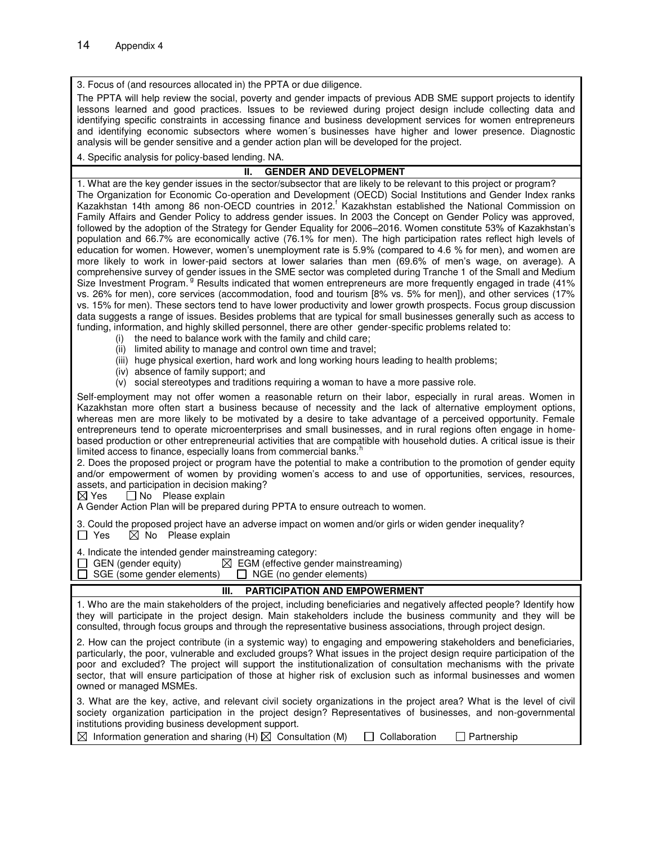3. Focus of (and resources allocated in) the PPTA or due diligence.

The PPTA will help review the social, poverty and gender impacts of previous ADB SME support projects to identify lessons learned and good practices. Issues to be reviewed during project design include collecting data and identifying specific constraints in accessing finance and business development services for women entrepreneurs and identifying economic subsectors where women´s businesses have higher and lower presence. Diagnostic analysis will be gender sensitive and a gender action plan will be developed for the project.

4. Specific analysis for policy-based lending. NA.

## **II. GENDER AND DEVELOPMENT**

1. What are the key gender issues in the sector/subsector that are likely to be relevant to this project or program? The Organization for Economic Co-operation and Development (OECD) Social Institutions and Gender Index ranks Kazakhstan 14th among 86 non-OECD countries in 2012.<sup>f</sup> Kazakhstan established the National Commission on Family Affairs and Gender Policy to address gender issues. In 2003 the Concept on Gender Policy was approved, followed by the adoption of the Strategy for Gender Equality for 2006–2016. Women constitute 53% of Kazakhstan's population and 66.7% are economically active (76.1% for men). The high participation rates reflect high levels of education for women. However, women's unemployment rate is 5.9% (compared to 4.6 % for men), and women are more likely to work in lower-paid sectors at lower salaries than men (69.6% of men's wage, on average). A comprehensive survey of gender issues in the SME sector was completed during Tranche 1 of the Small and Medium Size Investment Program.<sup>9</sup> Results indicated that women entrepreneurs are more frequently engaged in trade (41% vs. 26% for men), core services (accommodation, food and tourism [8% vs. 5% for men]), and other services (17% vs. 15% for men). These sectors tend to have lower productivity and lower growth prospects. Focus group discussion data suggests a range of issues. Besides problems that are typical for small businesses generally such as access to funding, information, and highly skilled personnel, there are other gender-specific problems related to:

- (i) the need to balance work with the family and child care;
- (ii) limited ability to manage and control own time and travel;
- (iii) huge physical exertion, hard work and long working hours leading to health problems;
- (iv) absence of family support; and
- (v) social stereotypes and traditions requiring a woman to have a more passive role.

Self-employment may not offer women a reasonable return on their labor, especially in rural areas. Women in Kazakhstan more often start a business because of necessity and the lack of alternative employment options, whereas men are more likely to be motivated by a desire to take advantage of a perceived opportunity. Female entrepreneurs tend to operate microenterprises and small businesses, and in rural regions often engage in homebased production or other entrepreneurial activities that are compatible with household duties. A critical issue is their limited access to finance, especially loans from commercial banks.<sup>1</sup>

2. Does the proposed project or program have the potential to make a contribution to the promotion of gender equity and/or empowerment of women by providing women's access to and use of opportunities, services, resources, assets, and participation in decision making?

 $\boxtimes$  Yes  $\Box$  No Please explain

A Gender Action Plan will be prepared during PPTA to ensure outreach to women.

3. Could the proposed project have an adverse impact on women and/or girls or widen gender inequality?

 $\Box$  Yes  $\boxtimes$  No Please explain

4. Indicate the intended gender mainstreaming category:

 $\Box$  GEN (gender equity)  $\Box$  EGM (effective gender mainstreaming)

SGE (some gender elements)  $\Box$  NGE (no gender elements)

## **III. PARTICIPATION AND EMPOWERMENT**

1. Who are the main stakeholders of the project, including beneficiaries and negatively affected people? Identify how they will participate in the project design. Main stakeholders include the business community and they will be consulted, through focus groups and through the representative business associations, through project design.

2. How can the project contribute (in a systemic way) to engaging and empowering stakeholders and beneficiaries, particularly, the poor, vulnerable and excluded groups? What issues in the project design require participation of the poor and excluded? The project will support the institutionalization of consultation mechanisms with the private sector, that will ensure participation of those at higher risk of exclusion such as informal businesses and women owned or managed MSMEs.

3. What are the key, active, and relevant civil society organizations in the project area? What is the level of civil society organization participation in the project design? Representatives of businesses, and non-governmental institutions providing business development support.

 $\boxtimes$  Information generation and sharing (H)  $\boxtimes$  Consultation (M)  $\Box$  Collaboration  $\Box$  Partnership